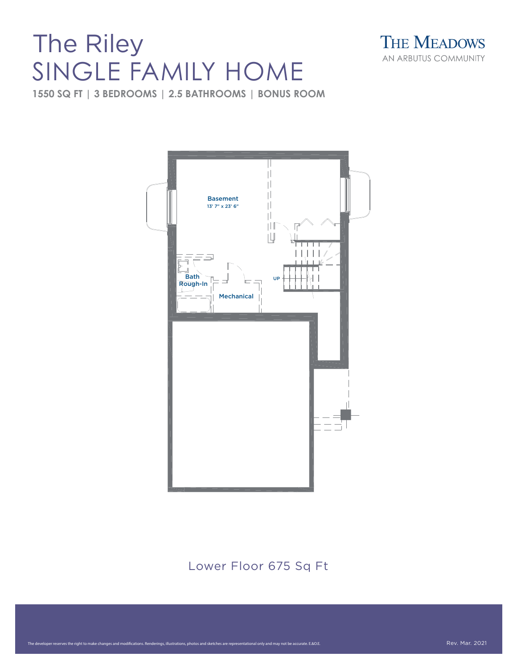# SINGLE FAMILY HOME



**1550 SQ FT | 3 BEDROOMS | 2.5 BATHROOMS | BONUS ROOM**



#### Lower Floor 675 Sq Ft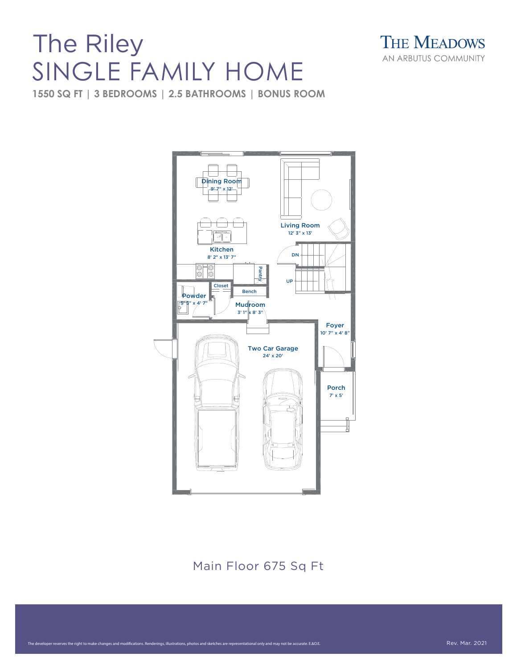# SINGLE FAMILY HOME



**1550 SQ FT | 3 BEDROOMS | 2.5 BATHROOMS | BONUS ROOM**



#### Main Floor 675 Sq Ft